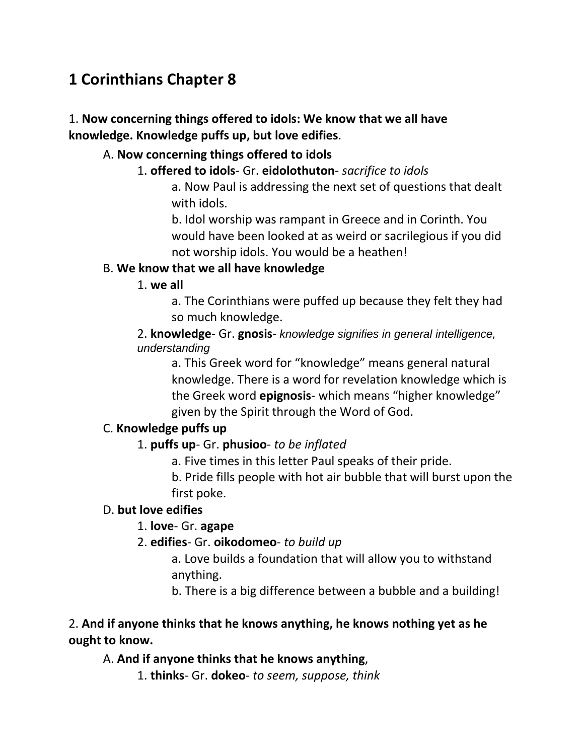# **1 Corinthians Chapter 8**

# 1. **Now concerning things offered to idols: We know that we all have knowledge. Knowledge puffs up, but love edifies**.

# A. **Now concerning things offered to idols**

# 1. **offered to idols**- Gr. **eidolothuton**- *sacrifice to idols*

a. Now Paul is addressing the next set of questions that dealt with idols.

b. Idol worship was rampant in Greece and in Corinth. You would have been looked at as weird or sacrilegious if you did not worship idols. You would be a heathen!

### B. **We know that we all have knowledge**

1. **we all**

a. The Corinthians were puffed up because they felt they had so much knowledge.

2. **knowledge**- Gr. **gnosis**- *knowledge signifies in general intelligence, understanding*

a. This Greek word for "knowledge" means general natural knowledge. There is a word for revelation knowledge which is the Greek word **epignosis**- which means "higher knowledge" given by the Spirit through the Word of God.

# C. **Knowledge puffs up**

# 1. **puffs up**- Gr. **phusioo**- *to be inflated*

a. Five times in this letter Paul speaks of their pride.

b. Pride fills people with hot air bubble that will burst upon the first poke.

# D. **but love edifies**

# 1. **love**- Gr. **agape**

- 2. **edifies** Gr. **oikodomeo** *to build up*
	- a. Love builds a foundation that will allow you to withstand anything.
	- b. There is a big difference between a bubble and a building!

### 2. **And if anyone thinks that he knows anything, he knows nothing yet as he ought to know.**

# A. **And if anyone thinks that he knows anything**,

1. **thinks**- Gr. **dokeo**- *to seem, suppose, think*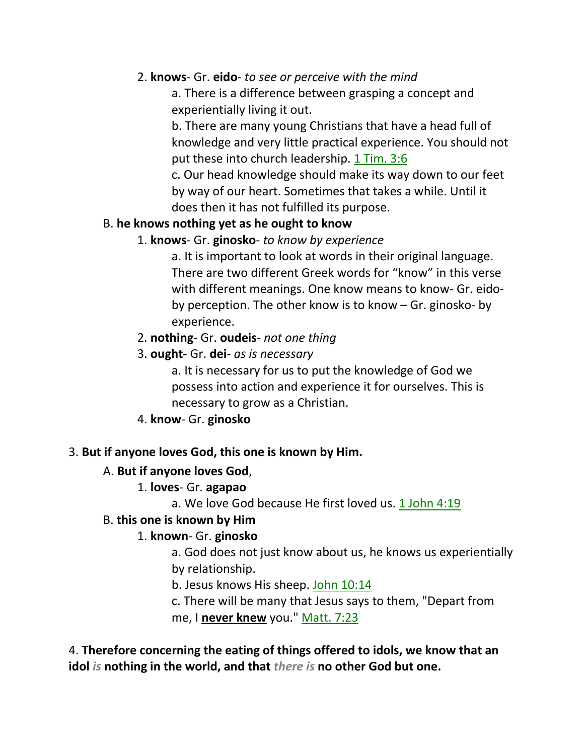### 2. **knows**- Gr. **eido**- *to see or perceive with the mind*

a. There is a difference between grasping a concept and experientially living it out.

b. There are many young Christians that have a head full of knowledge and very little practical experience. You should not put these into church leadership. 1 Tim. 3:6

c. Our head knowledge should make its way down to our feet by way of our heart. Sometimes that takes a while. Until it does then it has not fulfilled its purpose.

### B. **he knows nothing yet as he ought to know**

### 1. **knows**- Gr. **ginosko**- *to know by experience*

a. It is important to look at words in their original language. There are two different Greek words for "know" in this verse with different meanings. One know means to know- Gr. eidoby perception. The other know is to know – Gr. ginosko- by experience.

### 2. **nothing**- Gr. **oudeis**- *not one thing*

3. **ought-** Gr. **dei**- *as is necessary*

a. It is necessary for us to put the knowledge of God we possess into action and experience it for ourselves. This is necessary to grow as a Christian.

4. **know**- Gr. **ginosko**

### 3. **But if anyone loves God, this one is known by Him.**

### A. **But if anyone loves God**,

### 1. **loves**- Gr. **agapao**

a. We love God because He first loved us. 1 John 4:19

### B. **this one is known by Him**

### 1. **known**- Gr. **ginosko**

a. God does not just know about us, he knows us experientially by relationship.

b. Jesus knows His sheep. John 10:14

c. There will be many that Jesus says to them, "Depart from me, I **never knew** you." Matt. 7:23

4. **Therefore concerning the eating of things offered to idols, we know that an idol** *is* **nothing in the world, and that** *there is* **no other God but one.**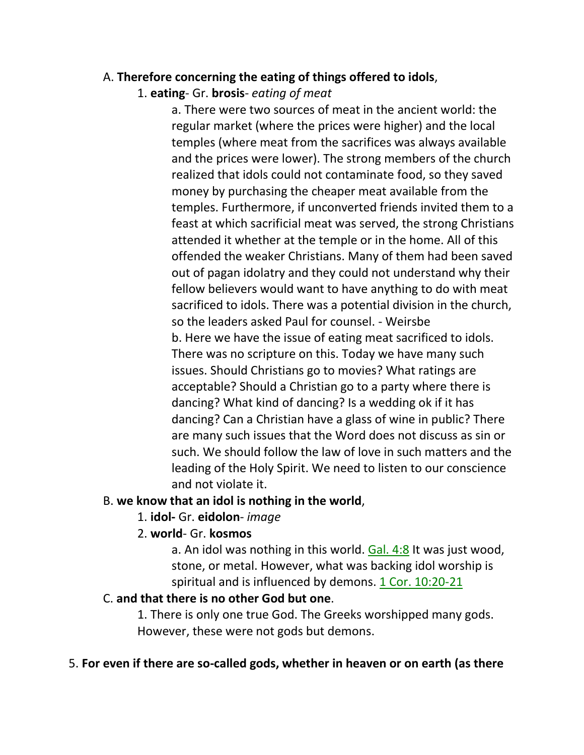### A. **Therefore concerning the eating of things offered to idols**,

### 1. **eating**- Gr. **brosis**- *eating of meat*

a. There were two sources of meat in the ancient world: the regular market (where the prices were higher) and the local temples (where meat from the sacrifices was always available and the prices were lower). The strong members of the church realized that idols could not contaminate food, so they saved money by purchasing the cheaper meat available from the temples. Furthermore, if unconverted friends invited them to a feast at which sacrificial meat was served, the strong Christians attended it whether at the temple or in the home. All of this offended the weaker Christians. Many of them had been saved out of pagan idolatry and they could not understand why their fellow believers would want to have anything to do with meat sacrificed to idols. There was a potential division in the church, so the leaders asked Paul for counsel. - Weirsbe b. Here we have the issue of eating meat sacrificed to idols. There was no scripture on this. Today we have many such issues. Should Christians go to movies? What ratings are acceptable? Should a Christian go to a party where there is dancing? What kind of dancing? Is a wedding ok if it has dancing? Can a Christian have a glass of wine in public? There are many such issues that the Word does not discuss as sin or such. We should follow the law of love in such matters and the leading of the Holy Spirit. We need to listen to our conscience and not violate it.

### B. **we know that an idol is nothing in the world**,

# 1. **idol-** Gr. **eidolon**- *image*

# 2. **world**- Gr. **kosmos**

a. An idol was nothing in this world. Gal. 4:8 It was just wood, stone, or metal. However, what was backing idol worship is spiritual and is influenced by demons. 1 Cor. 10:20-21

# C. **and that there is no other God but one**.

1. There is only one true God. The Greeks worshipped many gods. However, these were not gods but demons.

### 5. **For even if there are so-called gods, whether in heaven or on earth (as there**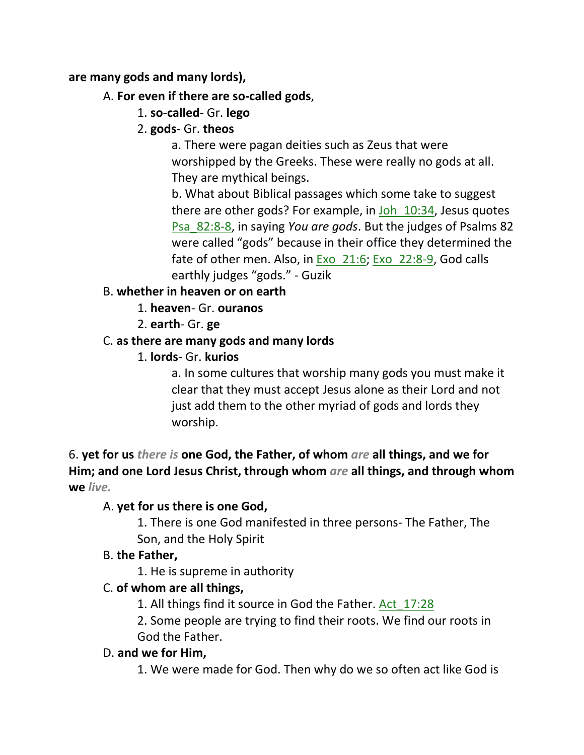### **are many gods and many lords),**

### A. **For even if there are so-called gods**,

- 1. **so-called** Gr. **lego**
- 2. **gods** Gr. **theos**

a. There were pagan deities such as Zeus that were worshipped by the Greeks. These were really no gods at all. They are mythical beings.

b. What about Biblical passages which some take to suggest there are other gods? For example, in  $J_0h$   $10:34$ , Jesus quotes Psa\_82:8-8, in saying *You are gods*. But the judges of Psalms 82 were called "gods" because in their office they determined the fate of other men. Also, in Exo\_21:6; Exo\_22:8-9, God calls earthly judges "gods." - Guzik

# B. **whether in heaven or on earth**

- 1. **heaven** Gr. **ouranos**
- 2. **earth** Gr. **ge**

# C. **as there are many gods and many lords**

1. **lords**- Gr. **kurios**

a. In some cultures that worship many gods you must make it clear that they must accept Jesus alone as their Lord and not just add them to the other myriad of gods and lords they worship.

6. **yet for us** *there is* **one God, the Father, of whom** *are* **all things, and we for Him; and one Lord Jesus Christ, through whom** *are* **all things, and through whom we** *live.*

### A. **yet for us there is one God,**

1. There is one God manifested in three persons- The Father, The Son, and the Holy Spirit

### B. **the Father,**

1. He is supreme in authority

# C. **of whom are all things,**

1. All things find it source in God the Father. Act\_17:28

2. Some people are trying to find their roots. We find our roots in God the Father.

### D. **and we for Him,**

1. We were made for God. Then why do we so often act like God is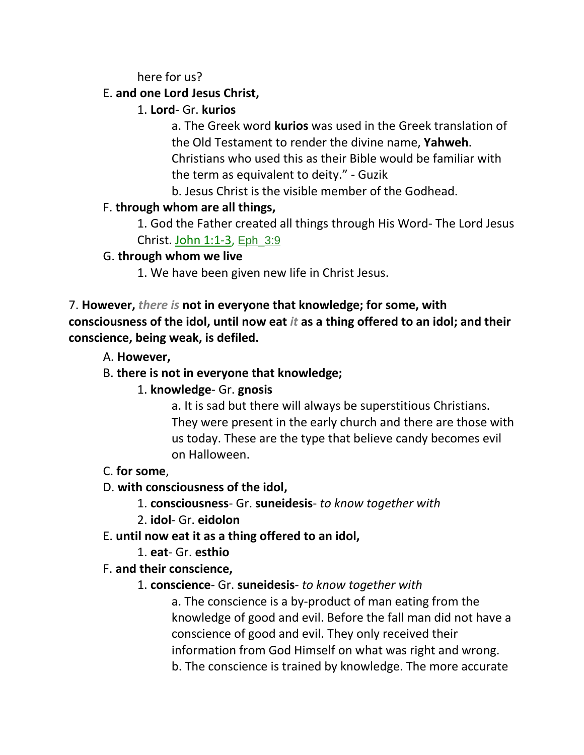### here for us?

# E. **and one Lord Jesus Christ,**

# 1. **Lord**- Gr. **kurios**

a. The Greek word **kurios** was used in the Greek translation of the Old Testament to render the divine name, **Yahweh**. Christians who used this as their Bible would be familiar with the term as equivalent to deity." - Guzik

b. Jesus Christ is the visible member of the Godhead.

# F. **through whom are all things,**

1. God the Father created all things through His Word- The Lord Jesus Christ. John 1:1-3, Eph\_3:9

# G. **through whom we live**

1. We have been given new life in Christ Jesus.

# 7. **However,** *there is* **not in everyone that knowledge; for some, with consciousness of the idol, until now eat** *it* **as a thing offered to an idol; and their conscience, being weak, is defiled.**

# A. **However,**

# B. **there is not in everyone that knowledge;**

# 1. **knowledge**- Gr. **gnosis**

a. It is sad but there will always be superstitious Christians. They were present in the early church and there are those with us today. These are the type that believe candy becomes evil on Halloween.

# C. **for some**,

# D. **with consciousness of the idol,**

- 1. **consciousness** Gr. **suneidesis** *to know together with*
- 2. **idol** Gr. **eidolon**

# E. **until now eat it as a thing offered to an idol,**

# 1. **eat**- Gr. **esthio**

# F. **and their conscience,**

# 1. **conscience**- Gr. **suneidesis**- *to know together with*

a. The conscience is a by-product of man eating from the knowledge of good and evil. Before the fall man did not have a conscience of good and evil. They only received their information from God Himself on what was right and wrong. b. The conscience is trained by knowledge. The more accurate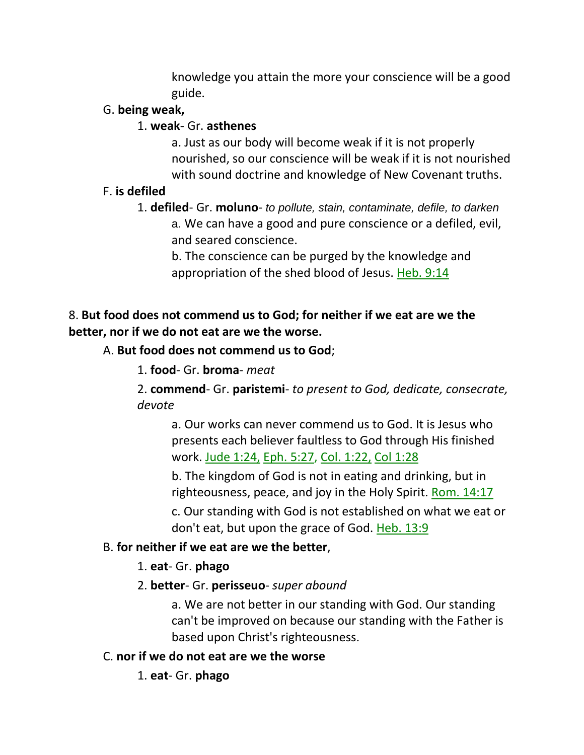knowledge you attain the more your conscience will be a good guide.

### G. **being weak,**

### 1. **weak**- Gr. **asthenes**

a. Just as our body will become weak if it is not properly nourished, so our conscience will be weak if it is not nourished with sound doctrine and knowledge of New Covenant truths.

# F. **is defiled**

1. **defiled**- Gr. **moluno**- *to pollute, stain, contaminate, defile, to darken* a. We can have a good and pure conscience or a defiled, evil, and seared conscience.

b. The conscience can be purged by the knowledge and appropriation of the shed blood of Jesus. Heb. 9:14

# 8. **But food does not commend us to God; for neither if we eat are we the better, nor if we do not eat are we the worse.**

### A. **But food does not commend us to God**;

1. **food**- Gr. **broma**- *meat*

2. **commend**- Gr. **paristemi**- *to present to God, dedicate, consecrate, devote*

a. Our works can never commend us to God. It is Jesus who presents each believer faultless to God through His finished work. Jude 1:24, Eph. 5:27, Col. 1:22, Col 1:28

b. The kingdom of God is not in eating and drinking, but in righteousness, peace, and joy in the Holy Spirit. Rom. 14:17 c. Our standing with God is not established on what we eat or don't eat, but upon the grace of God. Heb. 13:9

# B. **for neither if we eat are we the better**,

- 1. **eat** Gr. **phago**
- 2. **better** Gr. **perisseuo** *super abound*

a. We are not better in our standing with God. Our standing can't be improved on because our standing with the Father is based upon Christ's righteousness.

### C. **nor if we do not eat are we the worse**

1. **eat**- Gr. **phago**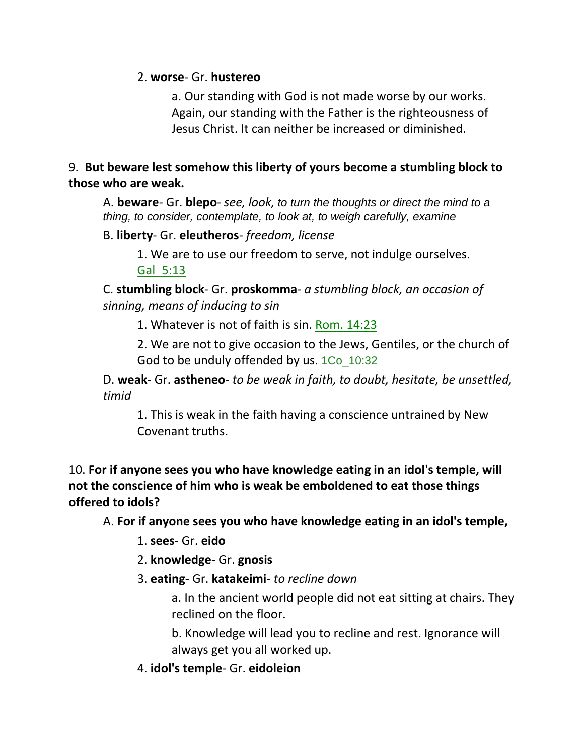### 2. **worse**- Gr. **hustereo**

a. Our standing with God is not made worse by our works. Again, our standing with the Father is the righteousness of Jesus Christ. It can neither be increased or diminished.

# 9. **But beware lest somehow this liberty of yours become a stumbling block to those who are weak.**

A. **beware**- Gr. **blepo**- *see, look, to turn the thoughts or direct the mind to a thing, to consider, contemplate, to look at, to weigh carefully, examine*

B. **liberty**- Gr. **eleutheros**- *freedom, license*

1. We are to use our freedom to serve, not indulge ourselves. Gal\_5:13

C. **stumbling block**- Gr. **proskomma**- *a stumbling block, an occasion of sinning, means of inducing to sin*

1. Whatever is not of faith is sin. Rom. 14:23

2. We are not to give occasion to the Jews, Gentiles, or the church of God to be unduly offended by us. 1Co\_10:32

D. **weak**- Gr. **astheneo**- *to be weak in faith, to doubt, hesitate, be unsettled, timid*

1. This is weak in the faith having a conscience untrained by New Covenant truths.

10. **For if anyone sees you who have knowledge eating in an idol's temple, will not the conscience of him who is weak be emboldened to eat those things offered to idols?** 

A. **For if anyone sees you who have knowledge eating in an idol's temple,**

1. **sees**- Gr. **eido**

2. **knowledge**- Gr. **gnosis**

3. **eating**- Gr. **katakeimi**- *to recline down*

a. In the ancient world people did not eat sitting at chairs. They reclined on the floor.

b. Knowledge will lead you to recline and rest. Ignorance will always get you all worked up.

4. **idol's temple**- Gr. **eidoleion**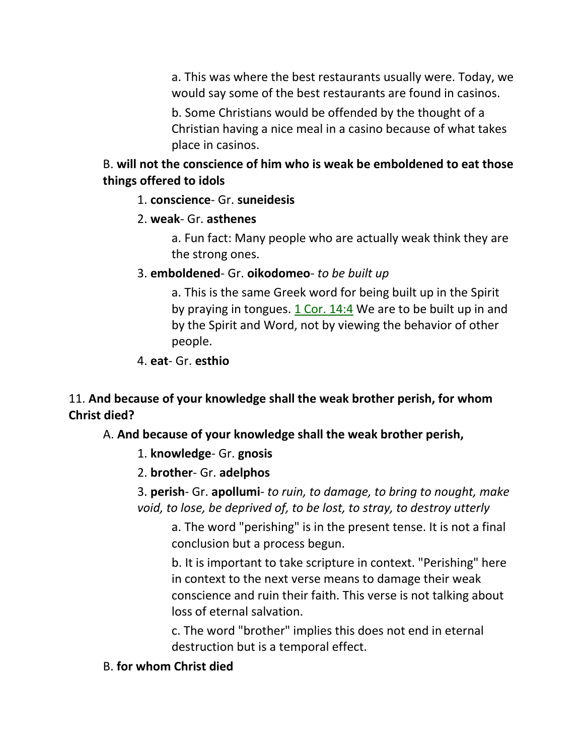a. This was where the best restaurants usually were. Today, we would say some of the best restaurants are found in casinos.

b. Some Christians would be offended by the thought of a Christian having a nice meal in a casino because of what takes place in casinos.

# B. **will not the conscience of him who is weak be emboldened to eat those things offered to idols**

### 1. **conscience**- Gr. **suneidesis**

# 2. **weak**- Gr. **asthenes**

a. Fun fact: Many people who are actually weak think they are the strong ones.

### 3. **emboldened**- Gr. **oikodomeo**- *to be built up*

a. This is the same Greek word for being built up in the Spirit by praying in tongues. 1 Cor. 14:4 We are to be built up in and by the Spirit and Word, not by viewing the behavior of other people.

# 4. **eat**- Gr. **esthio**

# 11. **And because of your knowledge shall the weak brother perish, for whom Christ died?**

# A. **And because of your knowledge shall the weak brother perish,**

# 1. **knowledge**- Gr. **gnosis**

# 2. **brother**- Gr. **adelphos**

3. **perish**- Gr. **apollumi**- *to ruin, to damage, to bring to nought, make void, to lose, be deprived of, to be lost, to stray, to destroy utterly*

a. The word "perishing" is in the present tense. It is not a final conclusion but a process begun.

b. It is important to take scripture in context. "Perishing" here in context to the next verse means to damage their weak conscience and ruin their faith. This verse is not talking about loss of eternal salvation.

c. The word "brother" implies this does not end in eternal destruction but is a temporal effect.

### B. **for whom Christ died**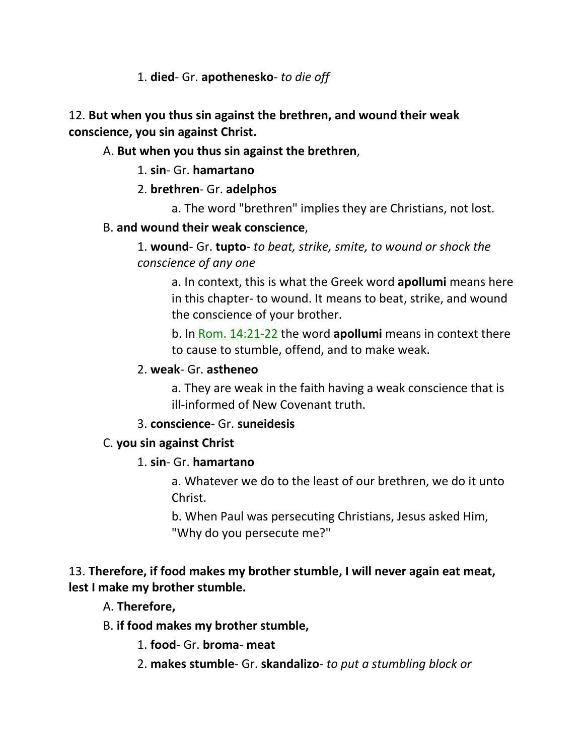### 1. **died**- Gr. **apothenesko**- *to die off*

# 12. **But when you thus sin against the brethren, and wound their weak conscience, you sin against Christ.**

### A. **But when you thus sin against the brethren**,

### 1. **sin**- Gr. **hamartano**

# 2. **brethren**- Gr. **adelphos**

a. The word "brethren" implies they are Christians, not lost.

### B. **and wound their weak conscience**,

1. **wound**- Gr. **tupto**- *to beat, strike, smite, to wound or shock the conscience of any one*

a. In context, this is what the Greek word **apollumi** means here in this chapter- to wound. It means to beat, strike, and wound the conscience of your brother.

b. In Rom. 14:21-22 the word **apollumi** means in context there to cause to stumble, offend, and to make weak.

### 2. **weak**- Gr. **astheneo**

a. They are weak in the faith having a weak conscience that is ill-informed of New Covenant truth.

### 3. **conscience**- Gr. **suneidesis**

# C. **you sin against Christ**

# 1. **sin**- Gr. **hamartano**

a. Whatever we do to the least of our brethren, we do it unto Christ.

b. When Paul was persecuting Christians, Jesus asked Him, "Why do you persecute me?"

# 13. **Therefore, if food makes my brother stumble, I will never again eat meat, lest I make my brother stumble.**

# A. **Therefore,**

### B. **if food makes my brother stumble,**

1. **food**- Gr. **broma**- **meat**

2. **makes stumble**- Gr. **skandalizo**- *to put a stumbling block or*